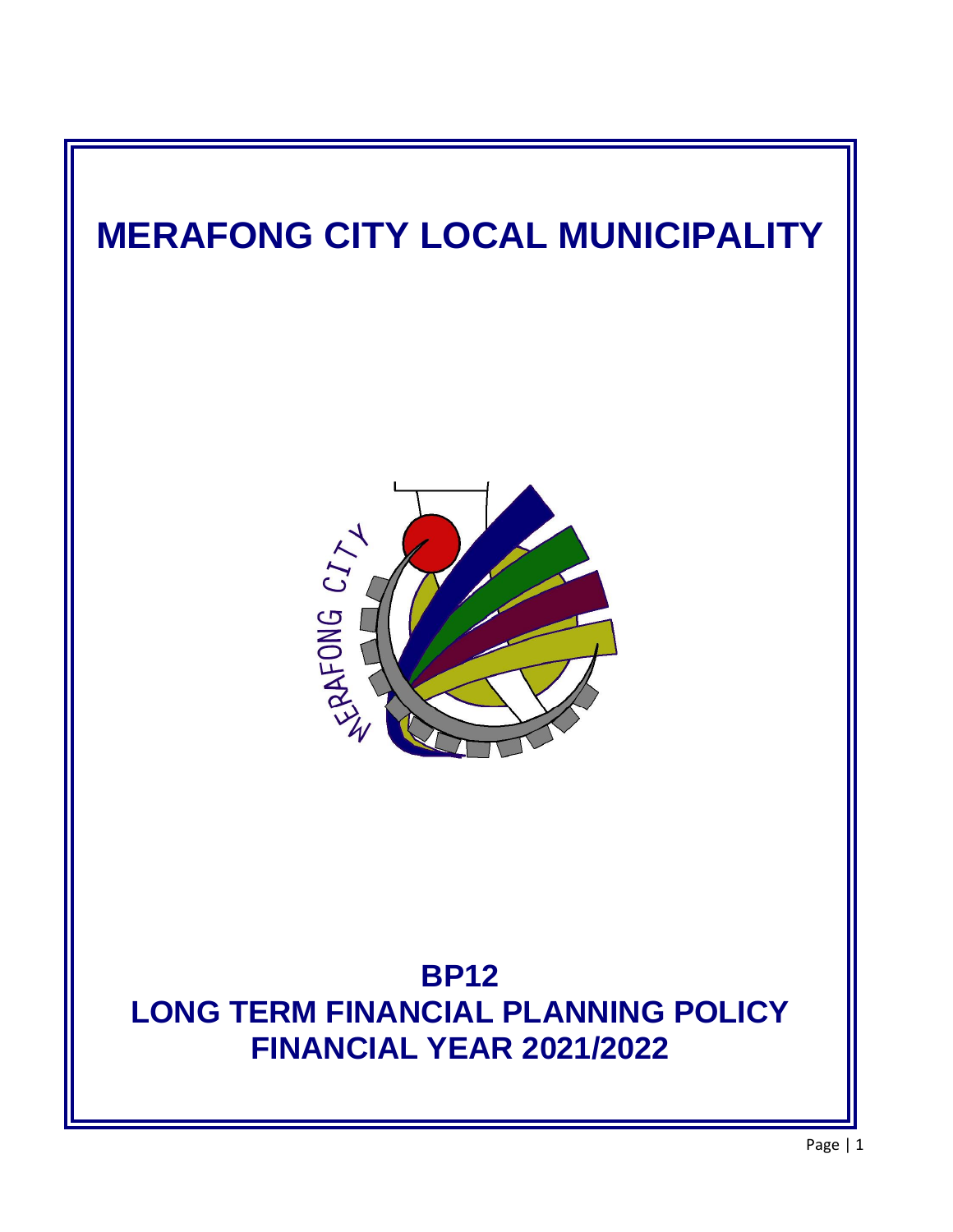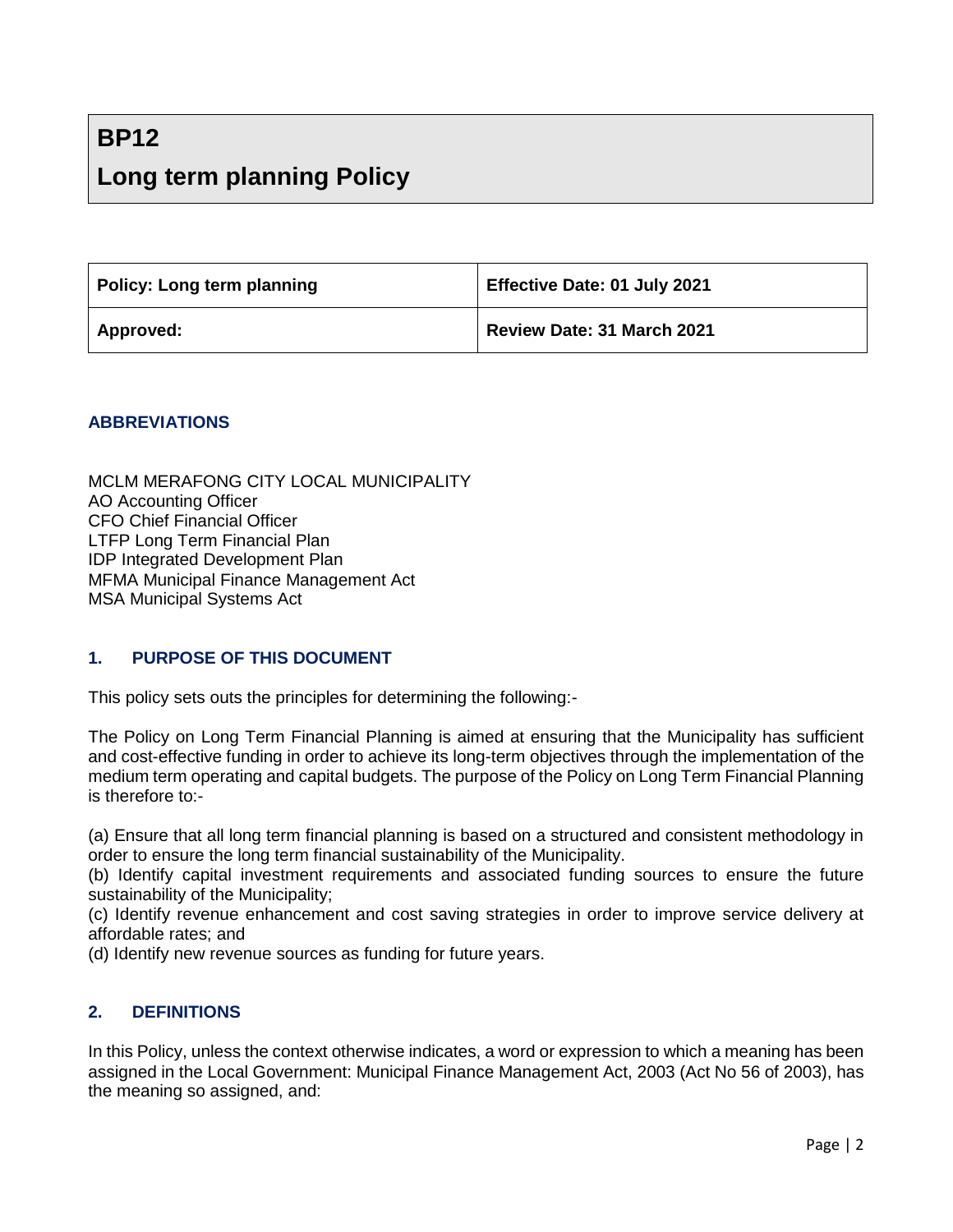# **BP12 Long term planning Policy**

| Policy: Long term planning | Effective Date: 01 July 2021 |
|----------------------------|------------------------------|
| Approved:                  | Review Date: 31 March 2021   |

#### **ABBREVIATIONS**

MCLM MERAFONG CITY LOCAL MUNICIPALITY AO Accounting Officer CFO Chief Financial Officer LTFP Long Term Financial Plan IDP Integrated Development Plan MFMA Municipal Finance Management Act MSA Municipal Systems Act

#### **1. PURPOSE OF THIS DOCUMENT**

This policy sets outs the principles for determining the following:-

The Policy on Long Term Financial Planning is aimed at ensuring that the Municipality has sufficient and cost-effective funding in order to achieve its long-term objectives through the implementation of the medium term operating and capital budgets. The purpose of the Policy on Long Term Financial Planning is therefore to:-

(a) Ensure that all long term financial planning is based on a structured and consistent methodology in order to ensure the long term financial sustainability of the Municipality.

(b) Identify capital investment requirements and associated funding sources to ensure the future sustainability of the Municipality;

(c) Identify revenue enhancement and cost saving strategies in order to improve service delivery at affordable rates; and

(d) Identify new revenue sources as funding for future years.

#### **2. DEFINITIONS**

In this Policy, unless the context otherwise indicates, a word or expression to which a meaning has been assigned in the Local Government: Municipal Finance Management Act, 2003 (Act No 56 of 2003), has the meaning so assigned, and: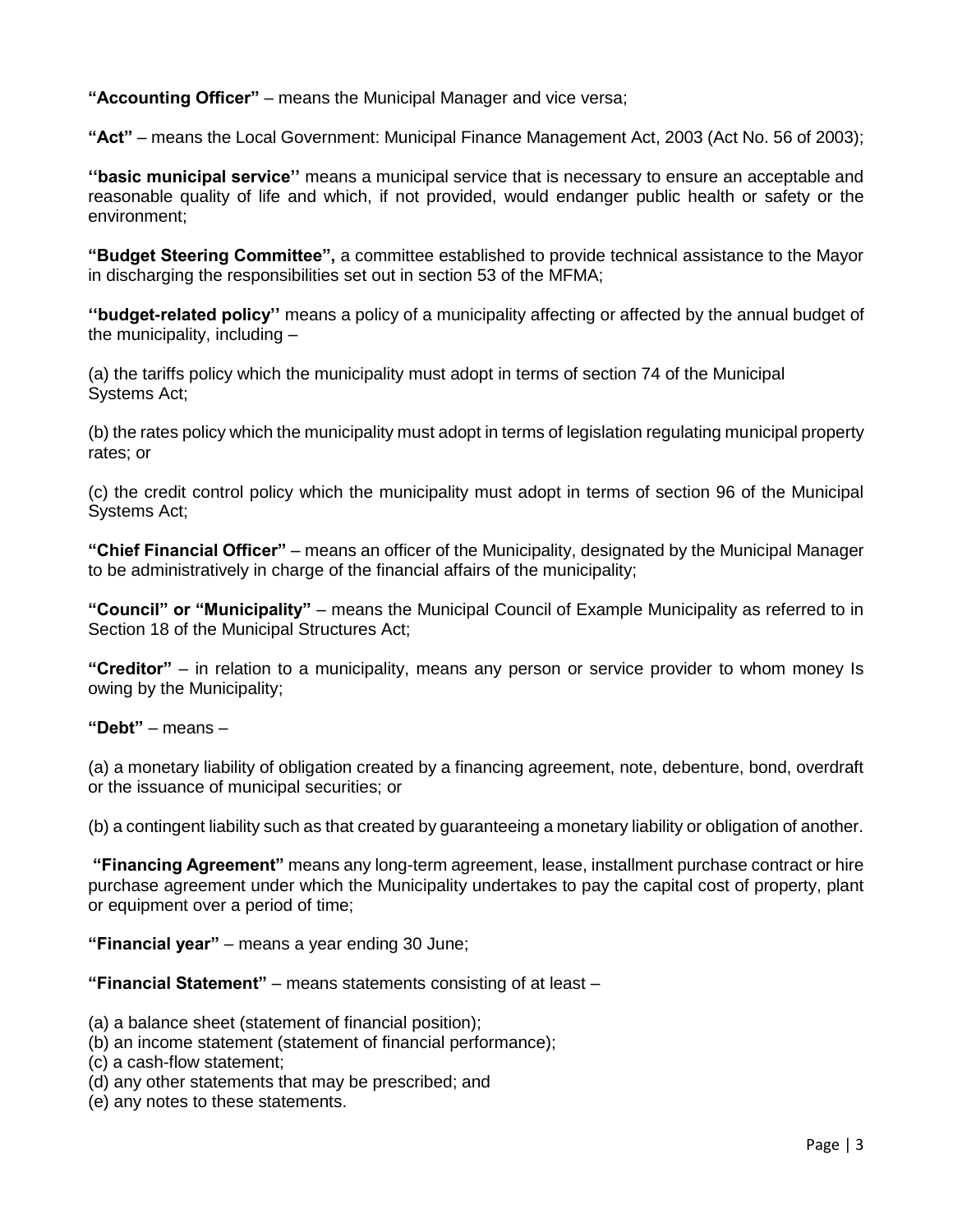**"Accounting Officer"** – means the Municipal Manager and vice versa;

**"Act"** – means the Local Government: Municipal Finance Management Act, 2003 (Act No. 56 of 2003);

**''basic municipal service''** means a municipal service that is necessary to ensure an acceptable and reasonable quality of life and which, if not provided, would endanger public health or safety or the environment;

**"Budget Steering Committee",** a committee established to provide technical assistance to the Mayor in discharging the responsibilities set out in section 53 of the MFMA;

**''budget-related policy''** means a policy of a municipality affecting or affected by the annual budget of the municipality, including –

(a) the tariffs policy which the municipality must adopt in terms of section 74 of the Municipal Systems Act;

(b) the rates policy which the municipality must adopt in terms of legislation regulating municipal property rates; or

(c) the credit control policy which the municipality must adopt in terms of section 96 of the Municipal Systems Act;

**"Chief Financial Officer"** – means an officer of the Municipality, designated by the Municipal Manager to be administratively in charge of the financial affairs of the municipality;

**"Council" or "Municipality"** – means the Municipal Council of Example Municipality as referred to in Section 18 of the Municipal Structures Act;

**"Creditor"** – in relation to a municipality, means any person or service provider to whom money Is owing by the Municipality;

**"Debt"** – means –

(a) a monetary liability of obligation created by a financing agreement, note, debenture, bond, overdraft or the issuance of municipal securities; or

(b) a contingent liability such as that created by guaranteeing a monetary liability or obligation of another.

**"Financing Agreement"** means any long-term agreement, lease, installment purchase contract or hire purchase agreement under which the Municipality undertakes to pay the capital cost of property, plant or equipment over a period of time;

**"Financial year"** – means a year ending 30 June;

**"Financial Statement"** – means statements consisting of at least –

(a) a balance sheet (statement of financial position);

(b) an income statement (statement of financial performance);

(c) a cash-flow statement;

- (d) any other statements that may be prescribed; and
- (e) any notes to these statements.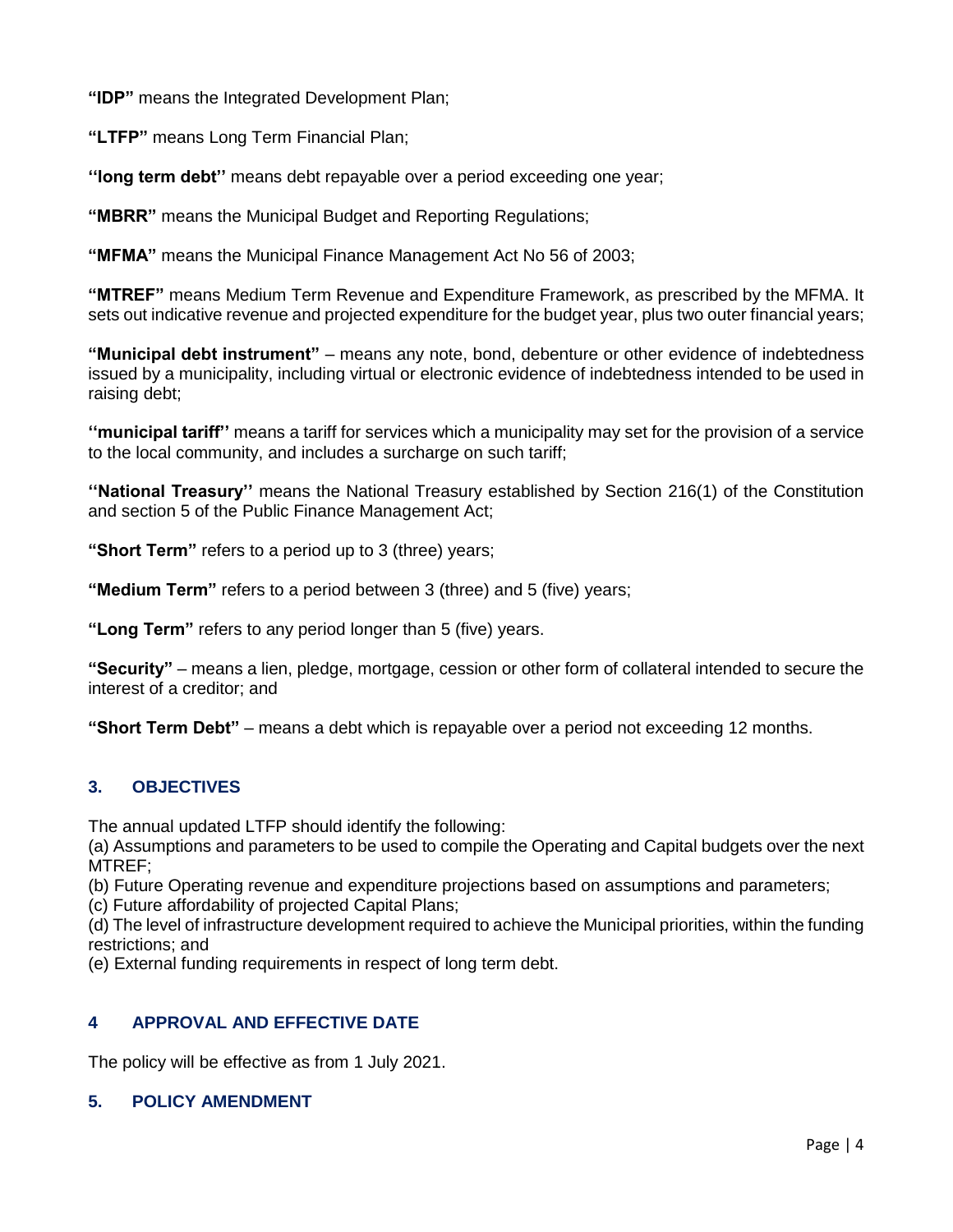**"IDP"** means the Integrated Development Plan;

**"LTFP"** means Long Term Financial Plan;

**''long term debt''** means debt repayable over a period exceeding one year;

**"MBRR"** means the Municipal Budget and Reporting Regulations;

**"MFMA"** means the Municipal Finance Management Act No 56 of 2003;

**"MTREF"** means Medium Term Revenue and Expenditure Framework, as prescribed by the MFMA. It sets out indicative revenue and projected expenditure for the budget year, plus two outer financial years;

**"Municipal debt instrument"** – means any note, bond, debenture or other evidence of indebtedness issued by a municipality, including virtual or electronic evidence of indebtedness intended to be used in raising debt;

**''municipal tariff''** means a tariff for services which a municipality may set for the provision of a service to the local community, and includes a surcharge on such tariff;

**''National Treasury''** means the National Treasury established by Section 216(1) of the Constitution and section 5 of the Public Finance Management Act;

**"Short Term"** refers to a period up to 3 (three) years;

**"Medium Term"** refers to a period between 3 (three) and 5 (five) years;

**"Long Term"** refers to any period longer than 5 (five) years.

**"Security"** – means a lien, pledge, mortgage, cession or other form of collateral intended to secure the interest of a creditor; and

**"Short Term Debt"** – means a debt which is repayable over a period not exceeding 12 months.

# **3. OBJECTIVES**

The annual updated LTFP should identify the following:

(a) Assumptions and parameters to be used to compile the Operating and Capital budgets over the next MTREF;

(b) Future Operating revenue and expenditure projections based on assumptions and parameters;

(c) Future affordability of projected Capital Plans;

(d) The level of infrastructure development required to achieve the Municipal priorities, within the funding restrictions; and

(e) External funding requirements in respect of long term debt.

# **4 APPROVAL AND EFFECTIVE DATE**

The policy will be effective as from 1 July 2021.

#### **5. POLICY AMENDMENT**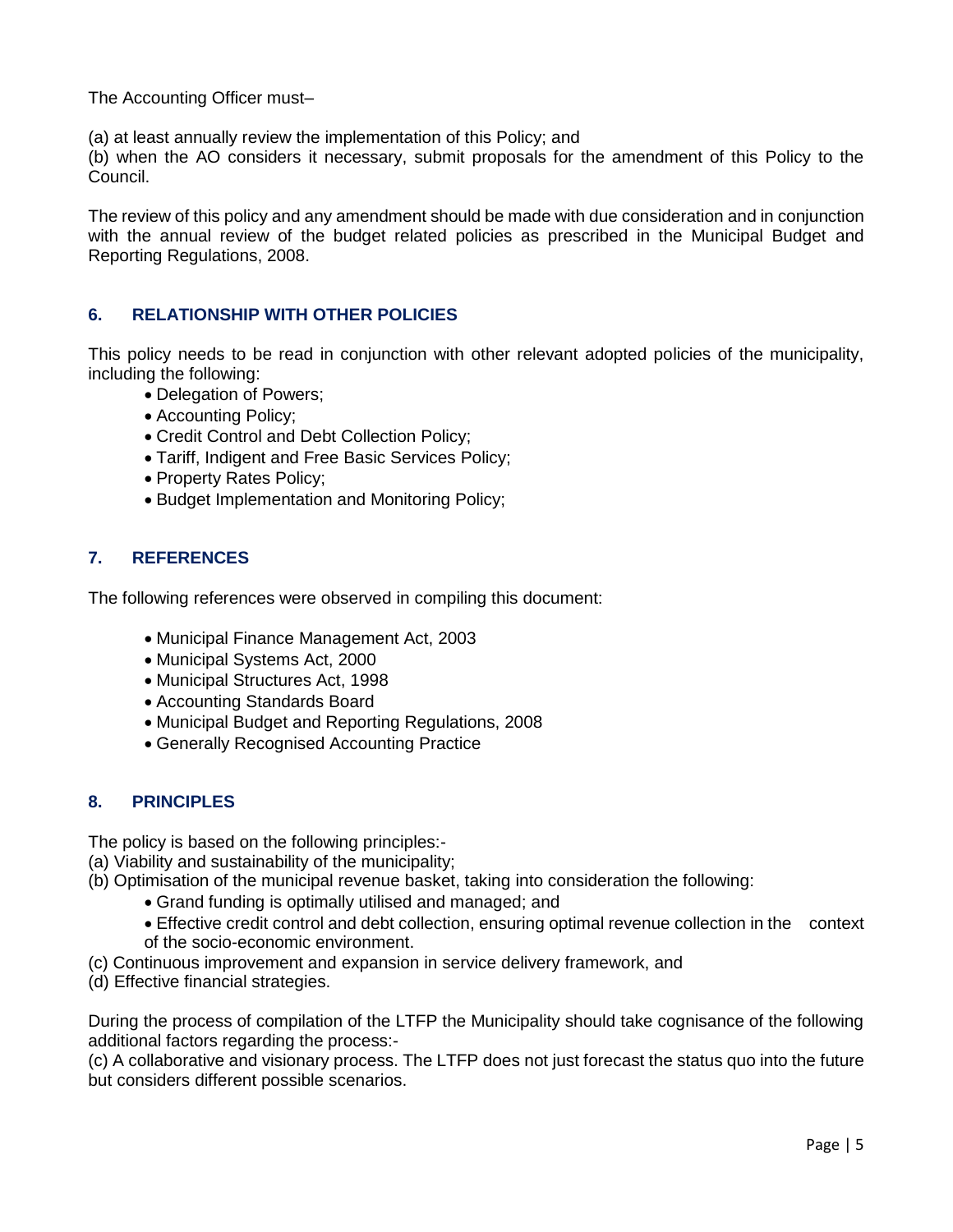The Accounting Officer must–

(a) at least annually review the implementation of this Policy; and

(b) when the AO considers it necessary, submit proposals for the amendment of this Policy to the Council.

The review of this policy and any amendment should be made with due consideration and in conjunction with the annual review of the budget related policies as prescribed in the Municipal Budget and Reporting Regulations, 2008.

## **6. RELATIONSHIP WITH OTHER POLICIES**

This policy needs to be read in conjunction with other relevant adopted policies of the municipality, including the following:

- Delegation of Powers;
- Accounting Policy;
- Credit Control and Debt Collection Policy;
- Tariff, Indigent and Free Basic Services Policy;
- Property Rates Policy;
- Budget Implementation and Monitoring Policy;

#### **7. REFERENCES**

The following references were observed in compiling this document:

- Municipal Finance Management Act, 2003
- Municipal Systems Act, 2000
- Municipal Structures Act, 1998
- Accounting Standards Board
- Municipal Budget and Reporting Regulations, 2008
- Generally Recognised Accounting Practice

#### **8. PRINCIPLES**

The policy is based on the following principles:-

- (a) Viability and sustainability of the municipality;
- (b) Optimisation of the municipal revenue basket, taking into consideration the following:
	- Grand funding is optimally utilised and managed; and
	- Effective credit control and debt collection, ensuring optimal revenue collection in the context of the socio-economic environment.
- (c) Continuous improvement and expansion in service delivery framework, and
- (d) Effective financial strategies.

During the process of compilation of the LTFP the Municipality should take cognisance of the following additional factors regarding the process:-

(c) A collaborative and visionary process. The LTFP does not just forecast the status quo into the future but considers different possible scenarios.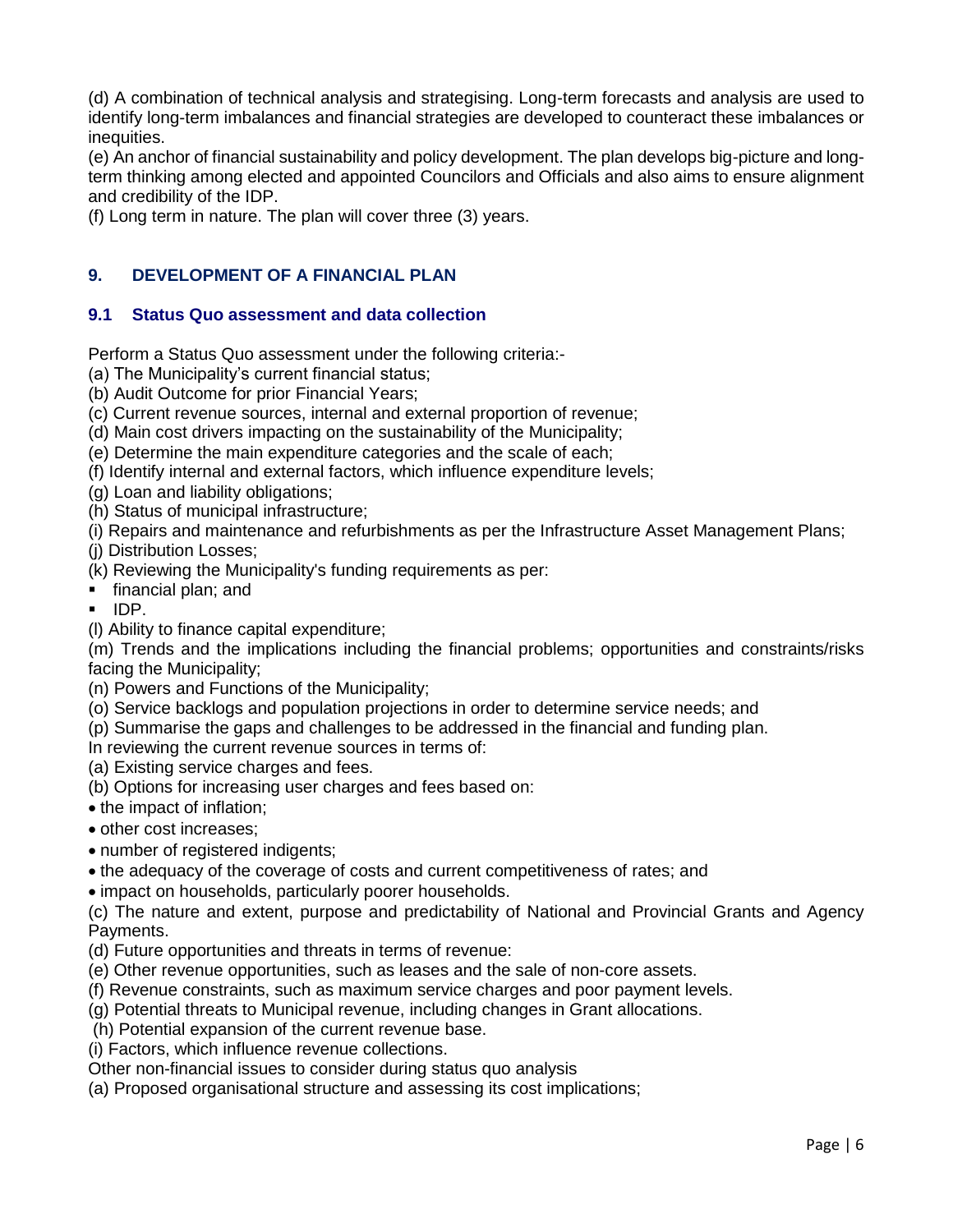(d) A combination of technical analysis and strategising. Long-term forecasts and analysis are used to identify long-term imbalances and financial strategies are developed to counteract these imbalances or inequities.

(e) An anchor of financial sustainability and policy development. The plan develops big-picture and longterm thinking among elected and appointed Councilors and Officials and also aims to ensure alignment and credibility of the IDP.

(f) Long term in nature. The plan will cover three (3) years.

## **9. DEVELOPMENT OF A FINANCIAL PLAN**

#### **9.1 Status Quo assessment and data collection**

Perform a Status Quo assessment under the following criteria:-

- (a) The Municipality's current financial status;
- (b) Audit Outcome for prior Financial Years;
- (c) Current revenue sources, internal and external proportion of revenue;
- (d) Main cost drivers impacting on the sustainability of the Municipality;
- (e) Determine the main expenditure categories and the scale of each;
- (f) Identify internal and external factors, which influence expenditure levels;
- (g) Loan and liability obligations;
- (h) Status of municipal infrastructure;
- (i) Repairs and maintenance and refurbishments as per the Infrastructure Asset Management Plans;
- (j) Distribution Losses;

(k) Reviewing the Municipality's funding requirements as per:

- **financial plan; and**
- $\blacksquare$  IDP.
- (l) Ability to finance capital expenditure;

(m) Trends and the implications including the financial problems; opportunities and constraints/risks facing the Municipality;

- (n) Powers and Functions of the Municipality;
- (o) Service backlogs and population projections in order to determine service needs; and
- (p) Summarise the gaps and challenges to be addressed in the financial and funding plan.

In reviewing the current revenue sources in terms of:

(a) Existing service charges and fees.

(b) Options for increasing user charges and fees based on:

- the impact of inflation;
- other cost increases;
- number of registered indigents;
- the adequacy of the coverage of costs and current competitiveness of rates; and

impact on households, particularly poorer households.

(c) The nature and extent, purpose and predictability of National and Provincial Grants and Agency Payments.

- (d) Future opportunities and threats in terms of revenue:
- (e) Other revenue opportunities, such as leases and the sale of non-core assets.
- (f) Revenue constraints, such as maximum service charges and poor payment levels.
- (g) Potential threats to Municipal revenue, including changes in Grant allocations.
- (h) Potential expansion of the current revenue base.
- (i) Factors, which influence revenue collections.

Other non-financial issues to consider during status quo analysis

(a) Proposed organisational structure and assessing its cost implications;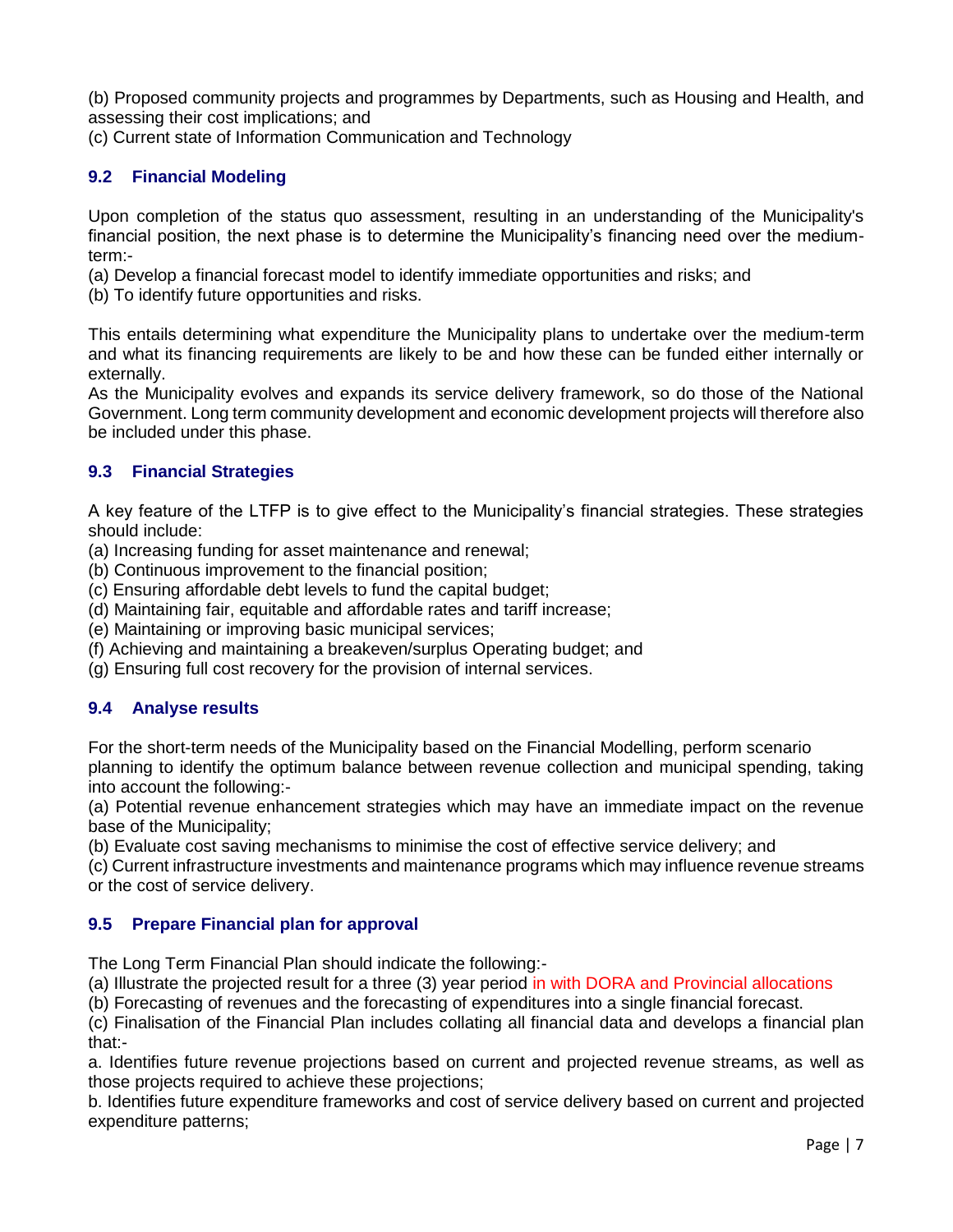(b) Proposed community projects and programmes by Departments, such as Housing and Health, and assessing their cost implications; and

(c) Current state of Information Communication and Technology

# **9.2 Financial Modeling**

Upon completion of the status quo assessment, resulting in an understanding of the Municipality's financial position, the next phase is to determine the Municipality's financing need over the mediumterm:-

(a) Develop a financial forecast model to identify immediate opportunities and risks; and

(b) To identify future opportunities and risks.

This entails determining what expenditure the Municipality plans to undertake over the medium-term and what its financing requirements are likely to be and how these can be funded either internally or externally.

As the Municipality evolves and expands its service delivery framework, so do those of the National Government. Long term community development and economic development projects will therefore also be included under this phase.

## **9.3 Financial Strategies**

A key feature of the LTFP is to give effect to the Municipality's financial strategies. These strategies should include:

(a) Increasing funding for asset maintenance and renewal;

(b) Continuous improvement to the financial position;

(c) Ensuring affordable debt levels to fund the capital budget;

(d) Maintaining fair, equitable and affordable rates and tariff increase;

(e) Maintaining or improving basic municipal services;

(f) Achieving and maintaining a breakeven/surplus Operating budget; and

(g) Ensuring full cost recovery for the provision of internal services.

#### **9.4 Analyse results**

For the short-term needs of the Municipality based on the Financial Modelling, perform scenario planning to identify the optimum balance between revenue collection and municipal spending, taking into account the following:-

(a) Potential revenue enhancement strategies which may have an immediate impact on the revenue base of the Municipality;

(b) Evaluate cost saving mechanisms to minimise the cost of effective service delivery; and

(c) Current infrastructure investments and maintenance programs which may influence revenue streams or the cost of service delivery.

# **9.5 Prepare Financial plan for approval**

The Long Term Financial Plan should indicate the following:-

(a) Illustrate the projected result for a three (3) year period in with DORA and Provincial allocations

(b) Forecasting of revenues and the forecasting of expenditures into a single financial forecast.

(c) Finalisation of the Financial Plan includes collating all financial data and develops a financial plan that:-

a. Identifies future revenue projections based on current and projected revenue streams, as well as those projects required to achieve these projections;

b. Identifies future expenditure frameworks and cost of service delivery based on current and projected expenditure patterns;